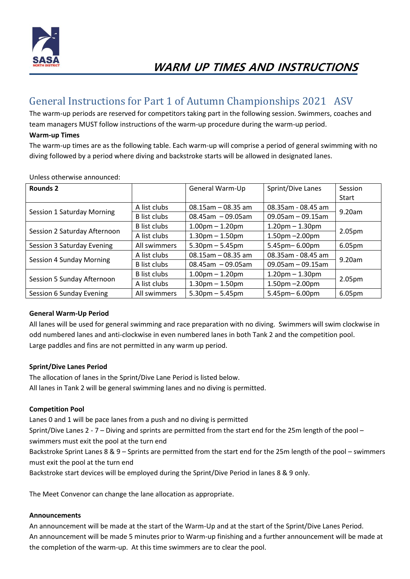

## General Instructions for Part 1 of Autumn Championships 2021 ASV

The warm-up periods are reserved for competitors taking part in the following session. Swimmers, coaches and team managers MUST follow instructions of the warm-up procedure during the warm-up period.

#### **Warm-up Times**

The warm-up times are as the following table. Each warm-up will comprise a period of general swimming with no diving followed by a period where diving and backstroke starts will be allowed in designated lanes.

| Rounds 2                     |                     | General Warm-Up        | Sprint/Dive Lanes      | Session            |
|------------------------------|---------------------|------------------------|------------------------|--------------------|
|                              |                     |                        |                        | Start              |
| Session 1 Saturday Morning   | A list clubs        | $08.15$ am - 08.35 am  | 08.35am - 08.45 am     | 9.20am             |
|                              | <b>B</b> list clubs | $08.45$ am $-09.05$ am | $09.05$ am $-09.15$ am |                    |
| Session 2 Saturday Afternoon | <b>B</b> list clubs | $1.00pm - 1.20pm$      | $1.20$ pm $- 1.30$ pm  | 2.05 <sub>pm</sub> |
|                              | A list clubs        | $1.30pm - 1.50pm$      | $1.50$ pm $-2.00$ pm   |                    |
| Session 3 Saturday Evening   | All swimmers        | $5.30$ pm $- 5.45$ pm  | 5.45pm-6.00pm          | 6.05pm             |
| Session 4 Sunday Morning     | A list clubs        | $08.15$ am - 08.35 am  | 08.35am - 08.45 am     | 9.20am             |
|                              | <b>B</b> list clubs | $08.45$ am $-09.05$ am | $09.05$ am - 09.15am   |                    |
| Session 5 Sunday Afternoon   | <b>B</b> list clubs | $1.00pm - 1.20pm$      | $1.20$ pm $- 1.30$ pm  | 2.05 <sub>pm</sub> |
|                              | A list clubs        | $1.30pm - 1.50pm$      | $1.50$ pm $-2.00$ pm   |                    |
| Session 6 Sunday Evening     | All swimmers        | $5.30$ pm $-5.45$ pm   | 5.45pm-6.00pm          | 6.05pm             |

Unless otherwise announced:

### **General Warm-Up Period**

All lanes will be used for general swimming and race preparation with no diving. Swimmers will swim clockwise in odd numbered lanes and anti-clockwise in even numbered lanes in both Tank 2 and the competition pool. Large paddles and fins are not permitted in any warm up period.

#### **Sprint/Dive Lanes Period**

The allocation of lanes in the Sprint/Dive Lane Period is listed below. All lanes in Tank 2 will be general swimming lanes and no diving is permitted.

#### **Competition Pool**

Lanes 0 and 1 will be pace lanes from a push and no diving is permitted Sprint/Dive Lanes 2 - 7 – Diving and sprints are permitted from the start end for the 25m length of the pool – swimmers must exit the pool at the turn end Backstroke Sprint Lanes 8 & 9 – Sprints are permitted from the start end for the 25m length of the pool – swimmers must exit the pool at the turn end Backstroke start devices will be employed during the Sprint/Dive Period in lanes 8 & 9 only.

The Meet Convenor can change the lane allocation as appropriate.

#### **Announcements**

An announcement will be made at the start of the Warm-Up and at the start of the Sprint/Dive Lanes Period. An announcement will be made 5 minutes prior to Warm-up finishing and a further announcement will be made at the completion of the warm-up. At this time swimmers are to clear the pool.